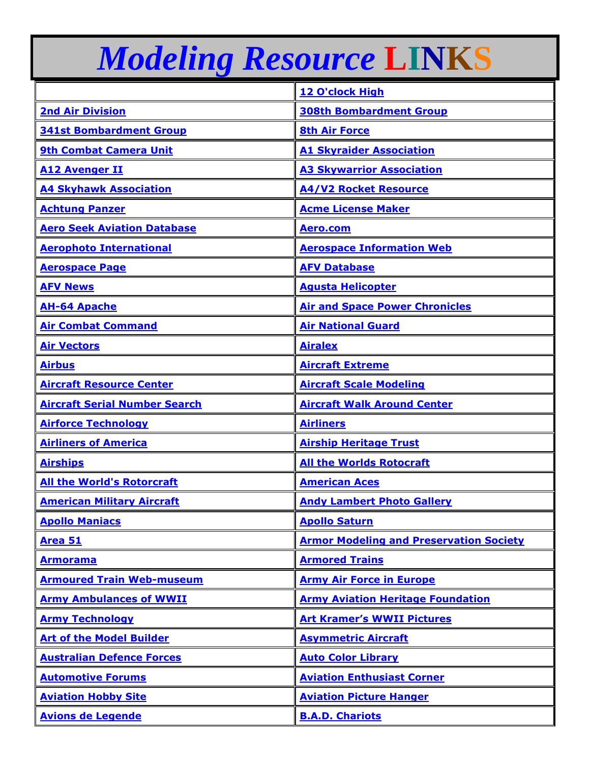## *Modeling Resource* **LINKS**

|                                      | 12 O'clock High                                |
|--------------------------------------|------------------------------------------------|
| <b>2nd Air Division</b>              | <b>308th Bombardment Group</b>                 |
| <b>341st Bombardment Group</b>       | <b>8th Air Force</b>                           |
| <b>9th Combat Camera Unit</b>        | <b>A1 Skyraider Association</b>                |
| <b>A12 Avenger II</b>                | <b>A3 Skywarrior Association</b>               |
| <b>A4 Skyhawk Association</b>        | <b>A4/V2 Rocket Resource</b>                   |
| <b>Achtung Panzer</b>                | <b>Acme License Maker</b>                      |
| <b>Aero Seek Aviation Database</b>   | Aero.com                                       |
| <b>Aerophoto International</b>       | <b>Aerospace Information Web</b>               |
| <b>Aerospace Page</b>                | <b>AFV Database</b>                            |
| <b>AFV News</b>                      | <b>Agusta Helicopter</b>                       |
| <b>AH-64 Apache</b>                  | <b>Air and Space Power Chronicles</b>          |
| <b>Air Combat Command</b>            | <b>Air National Guard</b>                      |
| <b>Air Vectors</b>                   | <b>Airalex</b>                                 |
| <b>Airbus</b>                        | <b>Aircraft Extreme</b>                        |
| <b>Aircraft Resource Center</b>      | <b>Aircraft Scale Modeling</b>                 |
| <b>Aircraft Serial Number Search</b> | <b>Aircraft Walk Around Center</b>             |
| <b>Airforce Technology</b>           | <b>Airliners</b>                               |
| <b>Airliners of America</b>          | <b>Airship Heritage Trust</b>                  |
| <b>Airships</b>                      | <b>All the Worlds Rotocraft</b>                |
| <b>All the World's Rotorcraft</b>    | <b>American Aces</b>                           |
| <b>American Military Aircraft</b>    | <b>Andy Lambert Photo Gallery</b>              |
| <b>Apollo Maniacs</b>                | <b>Apollo Saturn</b>                           |
| Area 51                              | <b>Armor Modeling and Preservation Society</b> |
| <b>Armorama</b>                      | <b>Armored Trains</b>                          |
| <b>Armoured Train Web-museum</b>     | <b>Army Air Force in Europe</b>                |
| <b>Army Ambulances of WWII</b>       | <b>Army Aviation Heritage Foundation</b>       |
| <b>Army Technology</b>               | <b>Art Kramer's WWII Pictures</b>              |
| <b>Art of the Model Builder</b>      | <b>Asymmetric Aircraft</b>                     |
| <b>Australian Defence Forces</b>     | <b>Auto Color Library</b>                      |
| <b>Automotive Forums</b>             | <b>Aviation Enthusiast Corner</b>              |
| <b>Aviation Hobby Site</b>           | <b>Aviation Picture Hanger</b>                 |
| <b>Avions de Legende</b>             | <b>B.A.D. Chariots</b>                         |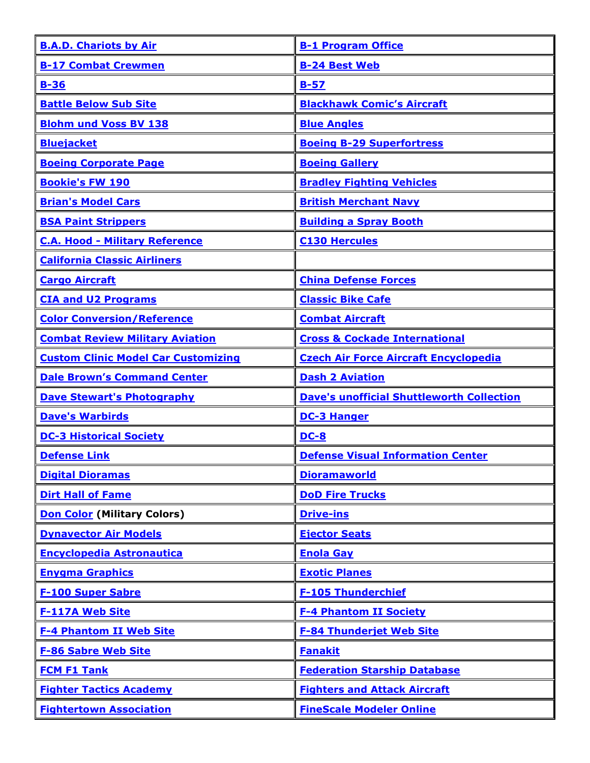| <b>B.A.D. Chariots by Air</b>              | <b>B-1 Program Office</b>                        |
|--------------------------------------------|--------------------------------------------------|
| <b>B-17 Combat Crewmen</b>                 | <b>B-24 Best Web</b>                             |
| $B-36$                                     | $B-57$                                           |
| <b>Battle Below Sub Site</b>               | <b>Blackhawk Comic's Aircraft</b>                |
| <b>Blohm und Voss BV 138</b>               | <b>Blue Angles</b>                               |
| <b>Bluejacket</b>                          | <b>Boeing B-29 Superfortress</b>                 |
| <b>Boeing Corporate Page</b>               | <b>Boeing Gallery</b>                            |
| <b>Bookie's FW 190</b>                     | <b>Bradley Fighting Vehicles</b>                 |
| <b>Brian's Model Cars</b>                  | <b>British Merchant Navy</b>                     |
| <b>BSA Paint Strippers</b>                 | <b>Building a Spray Booth</b>                    |
| <b>C.A. Hood - Military Reference</b>      | <b>C130 Hercules</b>                             |
| <b>California Classic Airliners</b>        |                                                  |
| <b>Cargo Aircraft</b>                      | <b>China Defense Forces</b>                      |
| <b>CIA and U2 Programs</b>                 | <b>Classic Bike Cafe</b>                         |
| <b>Color Conversion/Reference</b>          | <b>Combat Aircraft</b>                           |
| <b>Combat Review Military Aviation</b>     | <b>Cross &amp; Cockade International</b>         |
| <b>Custom Clinic Model Car Customizing</b> | <b>Czech Air Force Aircraft Encyclopedia</b>     |
| <b>Dale Brown's Command Center</b>         | <b>Dash 2 Aviation</b>                           |
| <b>Dave Stewart's Photography</b>          | <b>Dave's unofficial Shuttleworth Collection</b> |
| <b>Dave's Warbirds</b>                     | <b>DC-3 Hanger</b>                               |
| <b>DC-3 Historical Society</b>             | $DC-8$                                           |
| <b>Defense Link</b>                        | <b>Defense Visual Information Center</b>         |
| <b>Digital Dioramas</b>                    | <b>Dioramaworld</b>                              |
| <b>Dirt Hall of Fame</b>                   | <b>DoD Fire Trucks</b>                           |
| <b>Don Color (Military Colors)</b>         | <b>Drive-ins</b>                                 |
| <b>Dynavector Air Models</b>               | <b>Ejector Seats</b>                             |
| <b>Encyclopedia Astronautica</b>           | <b>Enola Gay</b>                                 |
| <b>Enygma Graphics</b>                     | <b>Exotic Planes</b>                             |
| <b>F-100 Super Sabre</b>                   | <b>F-105 Thunderchief</b>                        |
| <b>F-117A Web Site</b>                     | <b>F-4 Phantom II Society</b>                    |
| <b>F-4 Phantom II Web Site</b>             | <b>F-84 Thunderjet Web Site</b>                  |
| <b>F-86 Sabre Web Site</b>                 | <b>Fanakit</b>                                   |
| <b>FCM F1 Tank</b>                         | <b>Federation Starship Database</b>              |
| <b>Fighter Tactics Academy</b>             | <b>Fighters and Attack Aircraft</b>              |
| <b>Fightertown Association</b>             | <b>FineScale Modeler Online</b>                  |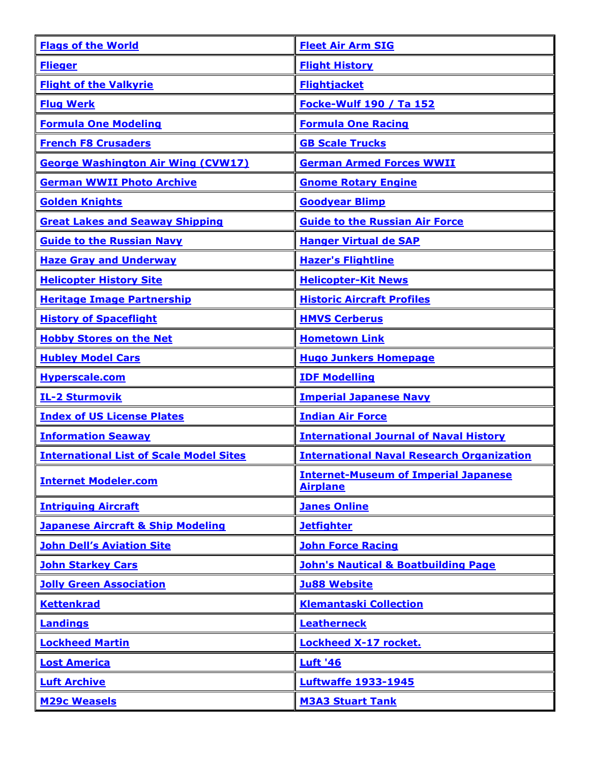| <b>Flags of the World</b>                      | <b>Fleet Air Arm SIG</b>                                       |
|------------------------------------------------|----------------------------------------------------------------|
| <b>Flieger</b>                                 | <b>Flight History</b>                                          |
| <b>Flight of the Valkyrie</b>                  | <b>Flightjacket</b>                                            |
| <b>Flug Werk</b>                               | <b>Focke-Wulf 190 / Ta 152</b>                                 |
| <b>Formula One Modeling</b>                    | <b>Formula One Racing</b>                                      |
| <b>French F8 Crusaders</b>                     | <b>GB Scale Trucks</b>                                         |
| <b>George Washington Air Wing (CVW17)</b>      | <b>German Armed Forces WWII</b>                                |
| <b>German WWII Photo Archive</b>               | <b>Gnome Rotary Engine</b>                                     |
| <b>Golden Knights</b>                          | <b>Goodyear Blimp</b>                                          |
| <b>Great Lakes and Seaway Shipping</b>         | <b>Guide to the Russian Air Force</b>                          |
| <b>Guide to the Russian Navy</b>               | <b>Hanger Virtual de SAP</b>                                   |
| <b>Haze Gray and Underway</b>                  | <b>Hazer's Flightline</b>                                      |
| <b>Helicopter History Site</b>                 | <b>Helicopter-Kit News</b>                                     |
| <b>Heritage Image Partnership</b>              | <b>Historic Aircraft Profiles</b>                              |
| <b>History of Spaceflight</b>                  | <b>HMVS Cerberus</b>                                           |
| <b>Hobby Stores on the Net</b>                 | <b>Hometown Link</b>                                           |
| <b>Hubley Model Cars</b>                       | <b>Hugo Junkers Homepage</b>                                   |
| Hyperscale.com                                 | <b>IDF Modelling</b>                                           |
| <b>IL-2 Sturmovik</b>                          | <b>Imperial Japanese Navy</b>                                  |
| <b>Index of US License Plates</b>              | <b>Indian Air Force</b>                                        |
| <b>Information Seaway</b>                      | <b>International Journal of Naval History</b>                  |
| <b>International List of Scale Model Sites</b> | <b>International Naval Research Organization</b>               |
| <b>Internet Modeler.com</b>                    | <b>Internet-Museum of Imperial Japanese</b><br><b>Airplane</b> |
| <b>Intriguing Aircraft</b>                     | <b>Janes Online</b>                                            |
| <b>Japanese Aircraft &amp; Ship Modeling</b>   | <b>Jetfighter</b>                                              |
| <b>John Dell's Aviation Site</b>               | <b>John Force Racing</b>                                       |
| <b>John Starkey Cars</b>                       | <b>John's Nautical &amp; Boatbuilding Page</b>                 |
| <b>Jolly Green Association</b>                 | <b>Ju88 Website</b>                                            |
| <b>Kettenkrad</b>                              | <b>Klemantaski Collection</b>                                  |
| Landings                                       | <b>Leatherneck</b>                                             |
| <b>Lockheed Martin</b>                         | <b>Lockheed X-17 rocket.</b>                                   |
| <b>Lost America</b>                            | <b>Luft '46</b>                                                |
| <b>Luft Archive</b>                            | <b>Luftwaffe 1933-1945</b>                                     |
| <b>M29c Weasels</b>                            | <b>M3A3 Stuart Tank</b>                                        |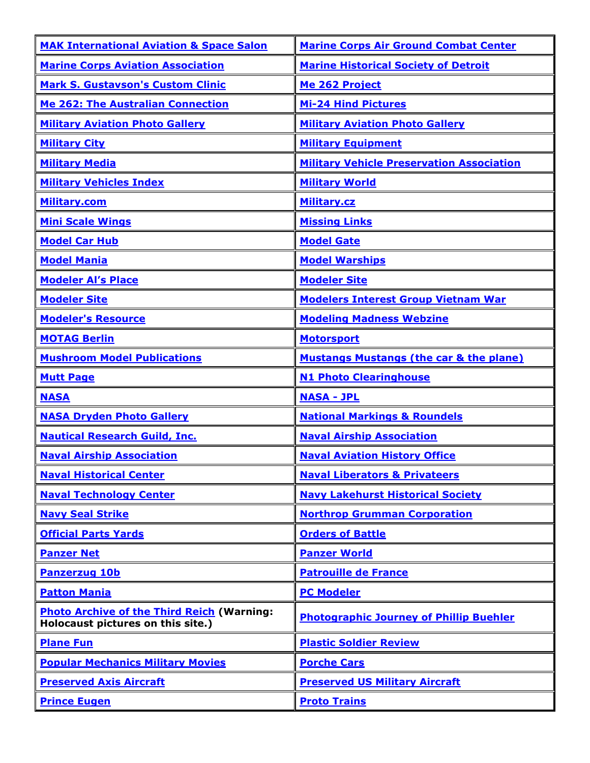| <b>MAK International Aviation &amp; Space Salon</b>                                    | <b>Marine Corps Air Ground Combat Center</b>       |
|----------------------------------------------------------------------------------------|----------------------------------------------------|
| <b>Marine Corps Aviation Association</b>                                               | <b>Marine Historical Society of Detroit</b>        |
| <b>Mark S. Gustavson's Custom Clinic</b>                                               | Me 262 Project                                     |
| <b>Me 262: The Australian Connection</b>                                               | <b>Mi-24 Hind Pictures</b>                         |
| <b>Military Aviation Photo Gallery</b>                                                 | <b>Military Aviation Photo Gallery</b>             |
| <b>Military City</b>                                                                   | <b>Military Equipment</b>                          |
| <b>Military Media</b>                                                                  | <b>Military Vehicle Preservation Association</b>   |
| <b>Military Vehicles Index</b>                                                         | <b>Military World</b>                              |
| Military.com                                                                           | <b>Military.cz</b>                                 |
| <b>Mini Scale Wings</b>                                                                | <b>Missing Links</b>                               |
| <b>Model Car Hub</b>                                                                   | <b>Model Gate</b>                                  |
| <b>Model Mania</b>                                                                     | <b>Model Warships</b>                              |
| <b>Modeler Al's Place</b>                                                              | <b>Modeler Site</b>                                |
| <b>Modeler Site</b>                                                                    | <b>Modelers Interest Group Vietnam War</b>         |
| <b>Modeler's Resource</b>                                                              | <b>Modeling Madness Webzine</b>                    |
| <b>MOTAG Berlin</b>                                                                    | <b>Motorsport</b>                                  |
| <b>Mushroom Model Publications</b>                                                     | <b>Mustangs Mustangs (the car &amp; the plane)</b> |
| <b>Mutt Page</b>                                                                       | <b>N1 Photo Clearinghouse</b>                      |
| <b>NASA</b>                                                                            | <b>NASA - JPL</b>                                  |
| <b>NASA Dryden Photo Gallery</b>                                                       | <b>National Markings &amp; Roundels</b>            |
| <b>Nautical Research Guild, Inc.</b>                                                   | <b>Naval Airship Association</b>                   |
| <b>Naval Airship Association</b>                                                       | <b>Naval Aviation History Office</b>               |
| <b>Naval Historical Center</b>                                                         | <b>Naval Liberators &amp; Privateers</b>           |
| <b>Naval Technology Center</b>                                                         | <b>Navy Lakehurst Historical Society</b>           |
| <b>Navy Seal Strike</b>                                                                | <b>Northrop Grumman Corporation</b>                |
| <b>Official Parts Yards</b>                                                            | <b>Orders of Battle</b>                            |
| <b>Panzer Net</b>                                                                      | <b>Panzer World</b>                                |
| <b>Panzerzug 10b</b>                                                                   | <b>Patrouille de France</b>                        |
| <b>Patton Mania</b>                                                                    | <b>PC Modeler</b>                                  |
| <b>Photo Archive of the Third Reich (Warning:</b><br>Holocaust pictures on this site.) | <b>Photographic Journey of Phillip Buehler</b>     |
| <b>Plane Fun</b>                                                                       | <b>Plastic Soldier Review</b>                      |
| <b>Popular Mechanics Military Movies</b>                                               | <b>Porche Cars</b>                                 |
| <b>Preserved Axis Aircraft</b>                                                         | <b>Preserved US Military Aircraft</b>              |
| <b>Prince Eugen</b>                                                                    | <b>Proto Trains</b>                                |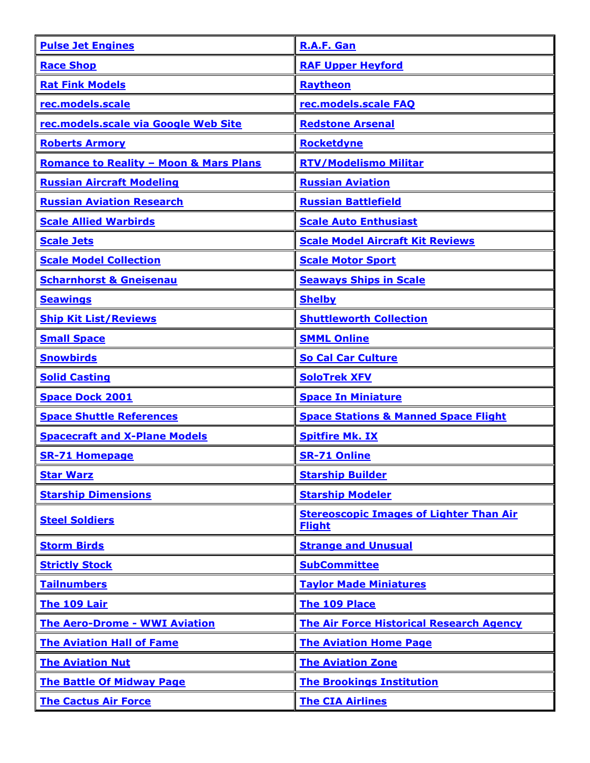| <b>Pulse Jet Engines</b>                          | R.A.F. Gan                                                      |
|---------------------------------------------------|-----------------------------------------------------------------|
| <b>Race Shop</b>                                  | <b>RAF Upper Heyford</b>                                        |
| <b>Rat Fink Models</b>                            | Raytheon                                                        |
| rec.models.scale                                  | rec.models.scale FAQ                                            |
| rec.models.scale via Google Web Site              | <b>Redstone Arsenal</b>                                         |
| <b>Roberts Armory</b>                             | Rocketdyne                                                      |
| <b>Romance to Reality - Moon &amp; Mars Plans</b> | <b>RTV/Modelismo Militar</b>                                    |
| <b>Russian Aircraft Modeling</b>                  | <b>Russian Aviation</b>                                         |
| <b>Russian Aviation Research</b>                  | <b>Russian Battlefield</b>                                      |
| <b>Scale Allied Warbirds</b>                      | <b>Scale Auto Enthusiast</b>                                    |
| <b>Scale Jets</b>                                 | <b>Scale Model Aircraft Kit Reviews</b>                         |
| <b>Scale Model Collection</b>                     | <b>Scale Motor Sport</b>                                        |
| <b>Scharnhorst &amp; Gneisenau</b>                | <b>Seaways Ships in Scale</b>                                   |
| <b>Seawings</b>                                   | <b>Shelby</b>                                                   |
| <b>Ship Kit List/Reviews</b>                      | <b>Shuttleworth Collection</b>                                  |
| <b>Small Space</b>                                | <b>SMML Online</b>                                              |
| <b>Snowbirds</b>                                  | <b>So Cal Car Culture</b>                                       |
| <b>Solid Casting</b>                              | <b>SoloTrek XFV</b>                                             |
| <b>Space Dock 2001</b>                            | <b>Space In Miniature</b>                                       |
| <b>Space Shuttle References</b>                   | <b>Space Stations &amp; Manned Space Flight</b>                 |
| <b>Spacecraft and X-Plane Models</b>              | <b>Spitfire Mk. IX</b>                                          |
| <b>SR-71 Homepage</b>                             | <b>SR-71 Online</b>                                             |
| <b>Star Warz</b>                                  | <b>Starship Builder</b>                                         |
| <b>Starship Dimensions</b>                        | <b>Starship Modeler</b>                                         |
| <b>Steel Soldiers</b>                             | <b>Stereoscopic Images of Lighter Than Air</b><br><b>Flight</b> |
| <b>Storm Birds</b>                                | <b>Strange and Unusual</b>                                      |
| <b>Strictly Stock</b>                             | <b>SubCommittee</b>                                             |
| <b>Tailnumbers</b>                                | <b>Taylor Made Miniatures</b>                                   |
| The 109 Lair                                      | The 109 Place                                                   |
| <b>The Aero-Drome - WWI Aviation</b>              | <b>The Air Force Historical Research Agency</b>                 |
| <b>The Aviation Hall of Fame</b>                  | <b>The Aviation Home Page</b>                                   |
| <b>The Aviation Nut</b>                           | <b>The Aviation Zone</b>                                        |
| <b>The Battle Of Midway Page</b>                  | <b>The Brookings Institution</b>                                |
| <b>The Cactus Air Force</b>                       | <b>The CIA Airlines</b>                                         |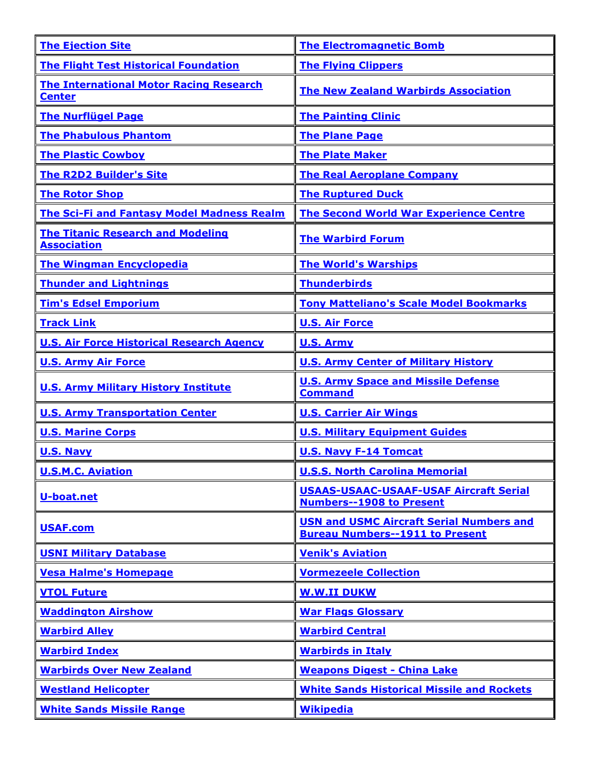| <b>The Ejection Site</b>                                        | <b>The Electromagnetic Bomb</b>                                                           |
|-----------------------------------------------------------------|-------------------------------------------------------------------------------------------|
| <b>The Flight Test Historical Foundation</b>                    | <b>The Flying Clippers</b>                                                                |
| <b>The International Motor Racing Research</b><br><b>Center</b> | <b>The New Zealand Warbirds Association</b>                                               |
| <b>The Nurflügel Page</b>                                       | <b>The Painting Clinic</b>                                                                |
| <b>The Phabulous Phantom</b>                                    | <b>The Plane Page</b>                                                                     |
| <b>The Plastic Cowboy</b>                                       | <b>The Plate Maker</b>                                                                    |
| <b>The R2D2 Builder's Site</b>                                  | <b>The Real Aeroplane Company</b>                                                         |
| <b>The Rotor Shop</b>                                           | <b>The Ruptured Duck</b>                                                                  |
| <b>The Sci-Fi and Fantasy Model Madness Realm</b>               | <b>The Second World War Experience Centre</b>                                             |
| <b>The Titanic Research and Modeling</b><br><b>Association</b>  | <b>The Warbird Forum</b>                                                                  |
| <b>The Wingman Encyclopedia</b>                                 | <b>The World's Warships</b>                                                               |
| <b>Thunder and Lightnings</b>                                   | <b>Thunderbirds</b>                                                                       |
| <b>Tim's Edsel Emporium</b>                                     | <b>Tony Matteliano's Scale Model Bookmarks</b>                                            |
| <b>Track Link</b>                                               | <b>U.S. Air Force</b>                                                                     |
| <b>U.S. Air Force Historical Research Agency</b>                | <b>U.S. Army</b>                                                                          |
| <b>U.S. Army Air Force</b>                                      | <b>U.S. Army Center of Military History</b>                                               |
| <b>U.S. Army Military History Institute</b>                     | <b>U.S. Army Space and Missile Defense</b><br><b>Command</b>                              |
| <b>U.S. Army Transportation Center</b>                          | <b>U.S. Carrier Air Wings</b>                                                             |
| <b>U.S. Marine Corps</b>                                        | <b>U.S. Military Equipment Guides</b>                                                     |
| <b>U.S. Navy</b>                                                | <b>U.S. Navy F-14 Tomcat</b>                                                              |
| <b>U.S.M.C. Aviation</b>                                        | <b>U.S.S. North Carolina Memorial</b>                                                     |
| U-boat.net                                                      | <b>USAAS-USAAC-USAAF-USAF Aircraft Serial</b><br><b>Numbers--1908 to Present</b>          |
| <b>USAF.com</b>                                                 | <b>USN and USMC Aircraft Serial Numbers and</b><br><b>Bureau Numbers--1911 to Present</b> |
| <b>USNI Military Database</b>                                   | <b>Venik's Aviation</b>                                                                   |
| <b>Vesa Halme's Homepage</b>                                    | <b>Vormezeele Collection</b>                                                              |
| <b>VTOL Future</b>                                              | <b>W.W.II DUKW</b>                                                                        |
| <b>Waddington Airshow</b>                                       | <b>War Flags Glossary</b>                                                                 |
| <b>Warbird Alley</b>                                            | <b>Warbird Central</b>                                                                    |
| <b>Warbird Index</b>                                            | <b>Warbirds in Italy</b>                                                                  |
| <b>Warbirds Over New Zealand</b>                                | <b>Weapons Digest - China Lake</b>                                                        |
| <b>Westland Helicopter</b>                                      | <b>White Sands Historical Missile and Rockets</b>                                         |
| <b>White Sands Missile Range</b>                                | <b>Wikipedia</b>                                                                          |